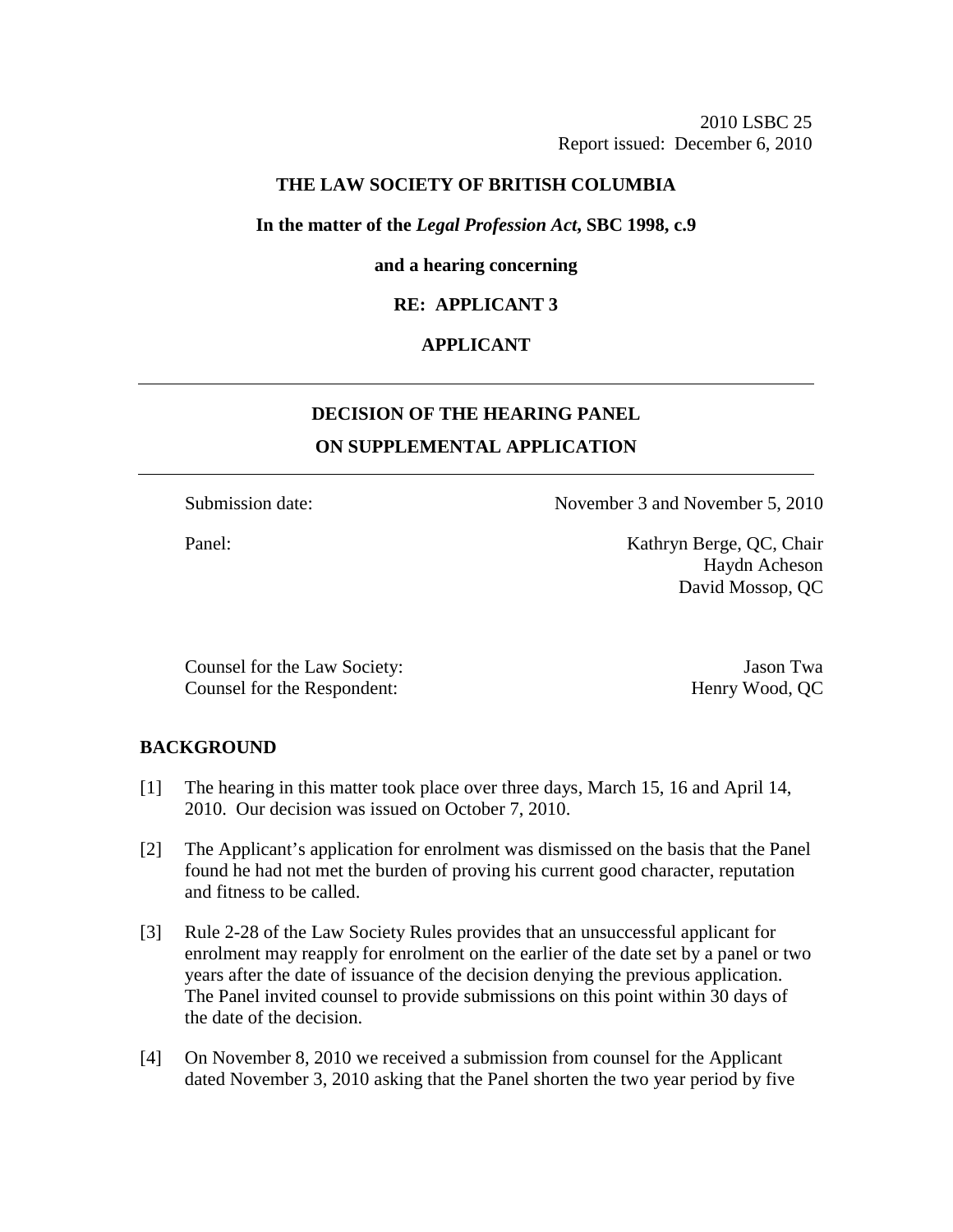## **THE LAW SOCIETY OF BRITISH COLUMBIA**

#### **In the matter of the** *Legal Profession Act***, SBC 1998, c.9**

#### **and a hearing concerning**

## **RE: APPLICANT 3**

# **APPLICANT**

# **DECISION OF THE HEARING PANEL ON SUPPLEMENTAL APPLICATION**

Submission date: November 3 and November 5, 2010

Panel: Kathryn Berge, QC, Chair Haydn Acheson David Mossop, QC

Counsel for the Law Society: Jason Twa Counsel for the Respondent: Henry Wood, QC

### **BACKGROUND**

- [1] The hearing in this matter took place over three days, March 15, 16 and April 14, 2010. Our decision was issued on October 7, 2010.
- [2] The Applicant's application for enrolment was dismissed on the basis that the Panel found he had not met the burden of proving his current good character, reputation and fitness to be called.
- [3] Rule 2-28 of the Law Society Rules provides that an unsuccessful applicant for enrolment may reapply for enrolment on the earlier of the date set by a panel or two years after the date of issuance of the decision denying the previous application. The Panel invited counsel to provide submissions on this point within 30 days of the date of the decision.
- [4] On November 8, 2010 we received a submission from counsel for the Applicant dated November 3, 2010 asking that the Panel shorten the two year period by five